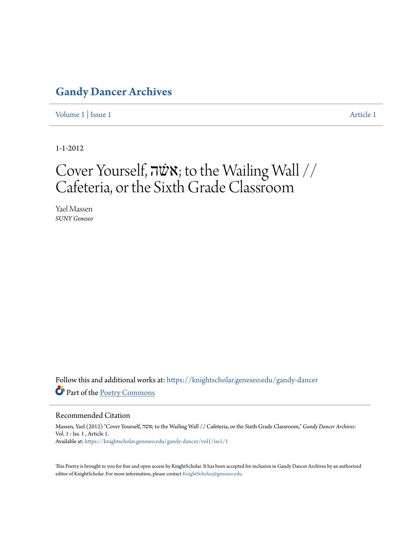## **[Gandy Dancer Archives](https://knightscholar.geneseo.edu/gandy-dancer?utm_source=knightscholar.geneseo.edu%2Fgandy-dancer%2Fvol1%2Fiss1%2F1&utm_medium=PDF&utm_campaign=PDFCoverPages)**

[Volume 1](https://knightscholar.geneseo.edu/gandy-dancer/vol1?utm_source=knightscholar.geneseo.edu%2Fgandy-dancer%2Fvol1%2Fiss1%2F1&utm_medium=PDF&utm_campaign=PDFCoverPages) | [Issue 1](https://knightscholar.geneseo.edu/gandy-dancer/vol1/iss1?utm_source=knightscholar.geneseo.edu%2Fgandy-dancer%2Fvol1%2Fiss1%2F1&utm_medium=PDF&utm_campaign=PDFCoverPages) [Article 1](https://knightscholar.geneseo.edu/gandy-dancer/vol1/iss1/1?utm_source=knightscholar.geneseo.edu%2Fgandy-dancer%2Fvol1%2Fiss1%2F1&utm_medium=PDF&utm_campaign=PDFCoverPages)

1-1-2012

## Cover Yourself, אָשׁה; to the Wailing Wall // Cafeteria, or the Sixth Grade Classroom

Yael Massen *SUNY Geneseo*

Follow this and additional works at: [https://knightscholar.geneseo.edu/gandy-dancer](https://knightscholar.geneseo.edu/gandy-dancer?utm_source=knightscholar.geneseo.edu%2Fgandy-dancer%2Fvol1%2Fiss1%2F1&utm_medium=PDF&utm_campaign=PDFCoverPages) Part of the [Poetry Commons](http://network.bepress.com/hgg/discipline/1153?utm_source=knightscholar.geneseo.edu%2Fgandy-dancer%2Fvol1%2Fiss1%2F1&utm_medium=PDF&utm_campaign=PDFCoverPages)

Recommended Citation

Massen, Yael (2012) "Cover Yourself, אשׁה; to the Wailing Wall // Cafeteria, or the Sixth Grade Classroom," *Gandy Dancer Archives*: Vol. 1 : Iss. 1 , Article 1. Available at: [https://knightscholar.geneseo.edu/gandy-dancer/vol1/iss1/1](https://knightscholar.geneseo.edu/gandy-dancer/vol1/iss1/1?utm_source=knightscholar.geneseo.edu%2Fgandy-dancer%2Fvol1%2Fiss1%2F1&utm_medium=PDF&utm_campaign=PDFCoverPages)

This Poetry is brought to you for free and open access by KnightScholar. It has been accepted for inclusion in Gandy Dancer Archives by an authorized editor of KnightScholar. For more information, please contact [KnightScholar@geneseo.edu.](mailto:KnightScholar@geneseo.edu)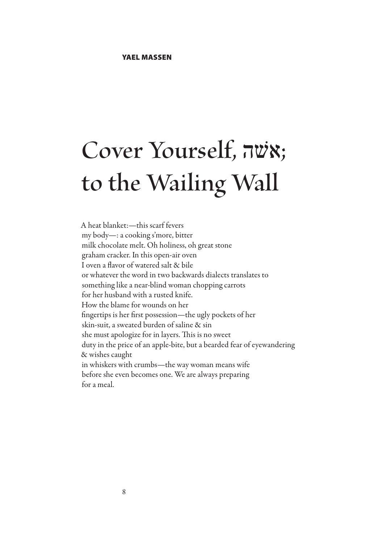## **Cover Yourself, השׂא**; **to the Wailing Wall**

A heat blanket:—this scarf fevers my body—: a cooking s'more, bitter milk chocolate melt. Oh holiness, oh great stone graham cracker. In this open-air oven I oven a flavor of watered salt & bile or whatever the word in two backwards dialects translates to something like a near-blind woman chopping carrots for her husband with a rusted knife. How the blame for wounds on her fingertips is her first possession—the ugly pockets of her skin-suit, a sweated burden of saline & sin she must apologize for in layers. This is no sweet duty in the price of an apple-bite, but a bearded fear of eyewandering & wishes caught in whiskers with crumbs—the way woman means wife before she even becomes one. We are always preparing for a meal.